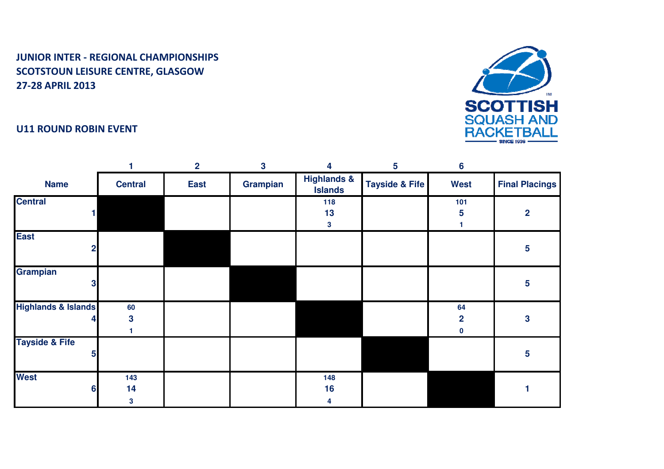# **SCOTTISH**<br>SQUASH AND **RACKETBALL**

#### U11 ROUND ROBIN EVENT

|                                |                | $\overline{2}$ | $\overline{\mathbf{3}}$ | 4                                        | 5                         | $6\phantom{1}6$ |                         |
|--------------------------------|----------------|----------------|-------------------------|------------------------------------------|---------------------------|-----------------|-------------------------|
| <b>Name</b>                    | <b>Central</b> | <b>East</b>    | Grampian                | <b>Highlands &amp;</b><br><b>Islands</b> | <b>Tayside &amp; Fife</b> | <b>West</b>     | <b>Final Placings</b>   |
| <b>Central</b>                 |                |                |                         | 118                                      |                           | 101             |                         |
|                                |                |                |                         | 13                                       |                           | 5               | $\overline{2}$          |
|                                |                |                |                         | $\mathbf{3}$                             |                           |                 |                         |
| <b>East</b>                    |                |                |                         |                                          |                           |                 |                         |
|                                |                |                |                         |                                          |                           |                 | 5                       |
|                                |                |                |                         |                                          |                           |                 |                         |
| <b>Grampian</b>                |                |                |                         |                                          |                           |                 |                         |
| 3                              |                |                |                         |                                          |                           |                 | 5                       |
|                                |                |                |                         |                                          |                           |                 |                         |
| <b>Highlands &amp; Islands</b> | 60             |                |                         |                                          |                           | 64              |                         |
| 4                              | 3              |                |                         |                                          |                           | $\overline{2}$  | $\overline{\mathbf{3}}$ |
|                                |                |                |                         |                                          |                           | $\bf{0}$        |                         |
| <b>Tayside &amp; Fife</b>      |                |                |                         |                                          |                           |                 |                         |
| 5                              |                |                |                         |                                          |                           |                 | 5                       |
|                                |                |                |                         |                                          |                           |                 |                         |
| <b>West</b>                    | 143            |                |                         | 148                                      |                           |                 |                         |
| 6                              | 14             |                |                         | 16                                       |                           |                 |                         |
|                                | $\mathbf{3}$   |                |                         | 4                                        |                           |                 |                         |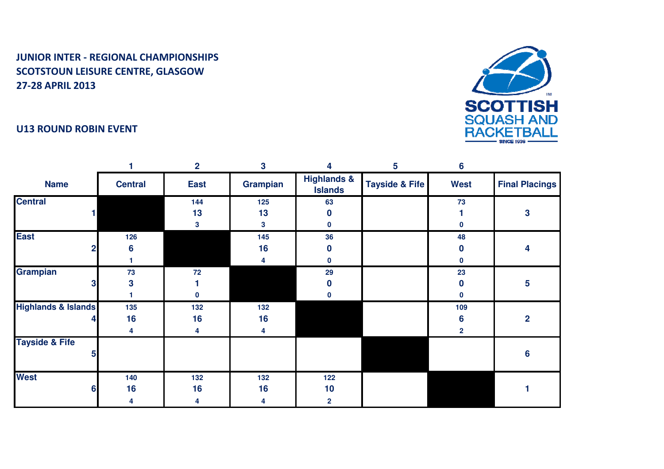

### U13 ROUND ROBIN EVENT

|                                |                | $\overline{2}$ | $\overline{\mathbf{3}}$ | 4                                        | 5                         | $6\phantom{1}6$ |                       |
|--------------------------------|----------------|----------------|-------------------------|------------------------------------------|---------------------------|-----------------|-----------------------|
| <b>Name</b>                    | <b>Central</b> | <b>East</b>    | Grampian                | <b>Highlands &amp;</b><br><b>Islands</b> | <b>Tayside &amp; Fife</b> | <b>West</b>     | <b>Final Placings</b> |
| <b>Central</b>                 |                | 144            | 125                     | 63                                       |                           | 73              |                       |
|                                |                | 13             | 13                      | 0                                        |                           |                 | 3                     |
|                                |                | 3              | 3                       | 0                                        |                           | 0               |                       |
| <b>East</b>                    | 126            |                | 145                     | 36                                       |                           | 48              |                       |
|                                | 6              |                | 16                      | 0                                        |                           | O               | 4                     |
|                                |                |                | 4                       | 0                                        |                           | 0               |                       |
| <b>Grampian</b>                | 73             | 72             |                         | 29                                       |                           | 23              |                       |
| 3                              | 3              |                |                         | 0                                        |                           | n               | 5                     |
|                                |                | 0              |                         | 0                                        |                           | 0               |                       |
| <b>Highlands &amp; Islands</b> | 135            | 132            | 132                     |                                          |                           | 109             |                       |
|                                | 16             | 16             | 16                      |                                          |                           | 6               | $\overline{2}$        |
|                                | 4              | 4              | 4                       |                                          |                           | 2               |                       |
| <b>Tayside &amp; Fife</b>      |                |                |                         |                                          |                           |                 |                       |
| 5                              |                |                |                         |                                          |                           |                 | 6                     |
|                                |                |                |                         |                                          |                           |                 |                       |
| <b>West</b>                    | 140            | 132            | 132                     | 122                                      |                           |                 |                       |
| 6                              | 16             | 16             | 16                      | 10                                       |                           |                 |                       |
|                                |                |                | 4                       | $\overline{2}$                           |                           |                 |                       |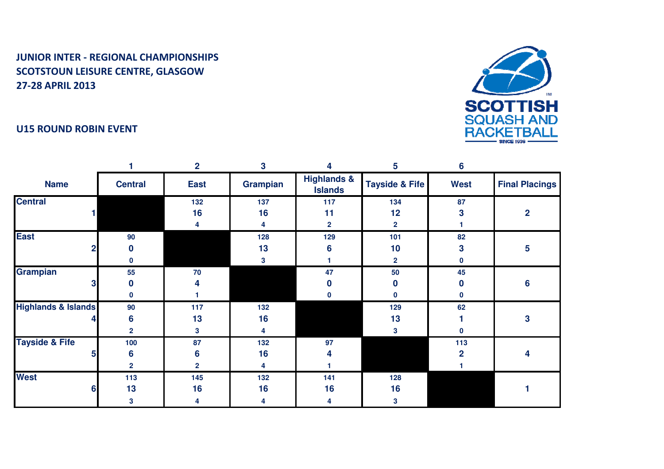# **SCOTTISH**<br>SQUASH AND **RACKETBALL**

### U15 ROUND ROBIN EVENT

|                                |                | $\overline{2}$ | $\mathbf{3}$    | 4                                        | 5                         | $6\phantom{a}$ |                       |
|--------------------------------|----------------|----------------|-----------------|------------------------------------------|---------------------------|----------------|-----------------------|
| <b>Name</b>                    | <b>Central</b> | <b>East</b>    | <b>Grampian</b> | <b>Highlands &amp;</b><br><b>Islands</b> | <b>Tayside &amp; Fife</b> | <b>West</b>    | <b>Final Placings</b> |
| <b>Central</b>                 |                | 132            | 137             | 117                                      | 134                       | 87             |                       |
|                                |                | 16             | 16              | 11                                       | 12                        | 3              | $\overline{2}$        |
|                                |                | 4              | 4               | $\mathbf{2}$                             | $\overline{\mathbf{2}}$   |                |                       |
| <b>East</b>                    | 90             |                | 128             | 129                                      | 101                       | 82             |                       |
|                                | 0              |                | 13              | 6                                        | 10                        | 3              | 5                     |
|                                | 0              |                | 3               |                                          | $\overline{\mathbf{2}}$   | ŋ              |                       |
| <b>Grampian</b>                | 55             | 70             |                 | 47                                       | 50                        | 45             |                       |
| 3                              | 0              |                |                 | n                                        | 0                         | O              | 6                     |
|                                | 0              |                |                 | O                                        | 0                         | 0              |                       |
| <b>Highlands &amp; Islands</b> | 90             | 117            | 132             |                                          | 129                       | 62             |                       |
|                                | 6              | 13             | 16              |                                          | 13                        |                | 3                     |
|                                | $\mathbf{2}$   | 3              | 4               |                                          | 3                         | 0              |                       |
| <b>Tayside &amp; Fife</b>      | 100            | 87             | 132             | 97                                       |                           | 113            |                       |
| 5                              | 6              | 6              | 16              | 4                                        |                           | 2              | 4                     |
|                                | $\mathbf{2}$   | $\mathbf{2}$   | 4               |                                          |                           |                |                       |
| <b>West</b>                    | 113            | 145            | 132             | 141                                      | 128                       |                |                       |
| 6                              | 13             | 16             | 16              | 16                                       | 16                        |                |                       |
|                                | 3              | 4              | 4               | 4                                        | 3                         |                |                       |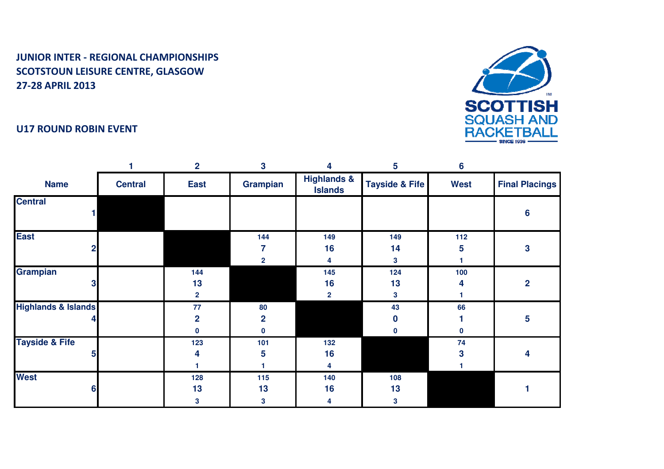



|                                |                | $\overline{2}$ | 3              | 4                                        | 5                         | $6\phantom{1}6$ |                       |
|--------------------------------|----------------|----------------|----------------|------------------------------------------|---------------------------|-----------------|-----------------------|
| <b>Name</b>                    | <b>Central</b> | <b>East</b>    | Grampian       | <b>Highlands &amp;</b><br><b>Islands</b> | <b>Tayside &amp; Fife</b> | <b>West</b>     | <b>Final Placings</b> |
| <b>Central</b>                 |                |                |                |                                          |                           |                 |                       |
|                                |                |                |                |                                          |                           |                 | 6                     |
| <b>East</b>                    |                |                | 144            | 149                                      | 149                       | $112$           |                       |
| 2                              |                |                | 7              | 16                                       | 14                        | 5               | 3                     |
|                                |                |                | $\mathbf{2}$   | 4                                        | 3                         |                 |                       |
| <b>Grampian</b>                |                | 144            |                | 145                                      | 124                       | 100             |                       |
| 3                              |                | 13             |                | 16                                       | 13                        | 4               | $\overline{2}$        |
|                                |                | $\mathbf{2}$   |                | $\mathbf{2}$                             | $\mathbf{3}$              |                 |                       |
| <b>Highlands &amp; Islands</b> |                | 77             | 80             |                                          | 43                        | 66              |                       |
|                                |                | $\overline{2}$ | $\overline{2}$ |                                          | 0                         |                 | 5                     |
|                                |                | $\bf{0}$       | 0              |                                          | $\mathbf 0$               | 0               |                       |
| <b>Tayside &amp; Fife</b>      |                | 123            | 101            | 132                                      |                           | 74              |                       |
| 5                              |                | 4              | 5              | 16                                       |                           | 3               | 4                     |
|                                |                |                |                | 4                                        |                           |                 |                       |
| <b>West</b>                    |                | 128            | 115            | 140                                      | 108                       |                 |                       |
| 6                              |                | 13             | 13             | 16                                       | 13                        |                 |                       |
|                                |                | 3              | 3              | 4                                        | $\mathbf{3}$              |                 |                       |